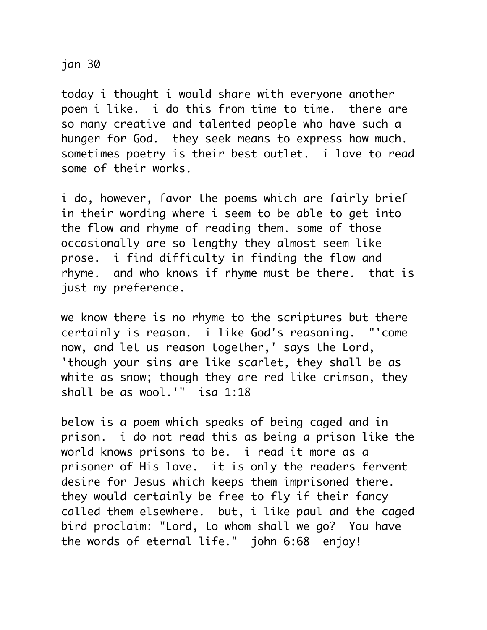jan 30

today i thought i would share with everyone another poem i like. i do this from time to time. there are so many creative and talented people who have such a hunger for God. they seek means to express how much. sometimes poetry is their best outlet. i love to read some of their works.

i do, however, favor the poems which are fairly brief in their wording where i seem to be able to get into the flow and rhyme of reading them. some of those occasionally are so lengthy they almost seem like prose. i find difficulty in finding the flow and rhyme. and who knows if rhyme must be there. that is just my preference.

we know there is no rhyme to the scriptures but there certainly is reason. i like God's reasoning. "'come now, and let us reason together,' says the Lord, 'though your sins are like scarlet, they shall be as white as snow; though they are red like crimson, they shall be as wool.'" isa 1:18

below is a poem which speaks of being caged and in prison. i do not read this as being a prison like the world knows prisons to be. i read it more as a prisoner of His love. it is only the readers fervent desire for Jesus which keeps them imprisoned there. they would certainly be free to fly if their fancy called them elsewhere. but, i like paul and the caged bird proclaim: "Lord, to whom shall we go? You have the words of eternal life." john 6:68 enjoy!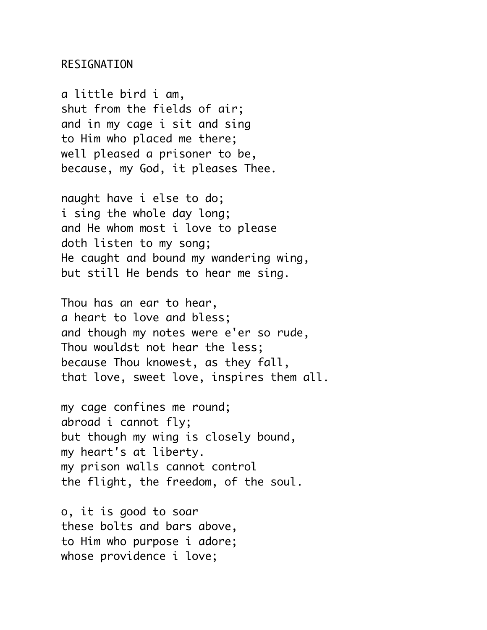## RESIGNATION

a little bird i am, shut from the fields of air; and in my cage i sit and sing to Him who placed me there; well pleased a prisoner to be, because, my God, it pleases Thee.

naught have i else to do; i sing the whole day long; and He whom most i love to please doth listen to my song; He caught and bound my wandering wing, but still He bends to hear me sing.

Thou has an ear to hear, a heart to love and bless; and though my notes were e'er so rude, Thou wouldst not hear the less; because Thou knowest, as they fall, that love, sweet love, inspires them all.

my cage confines me round; abroad i cannot fly; but though my wing is closely bound, my heart's at liberty. my prison walls cannot control the flight, the freedom, of the soul.

o, it is good to soar these bolts and bars above, to Him who purpose i adore; whose providence i love;